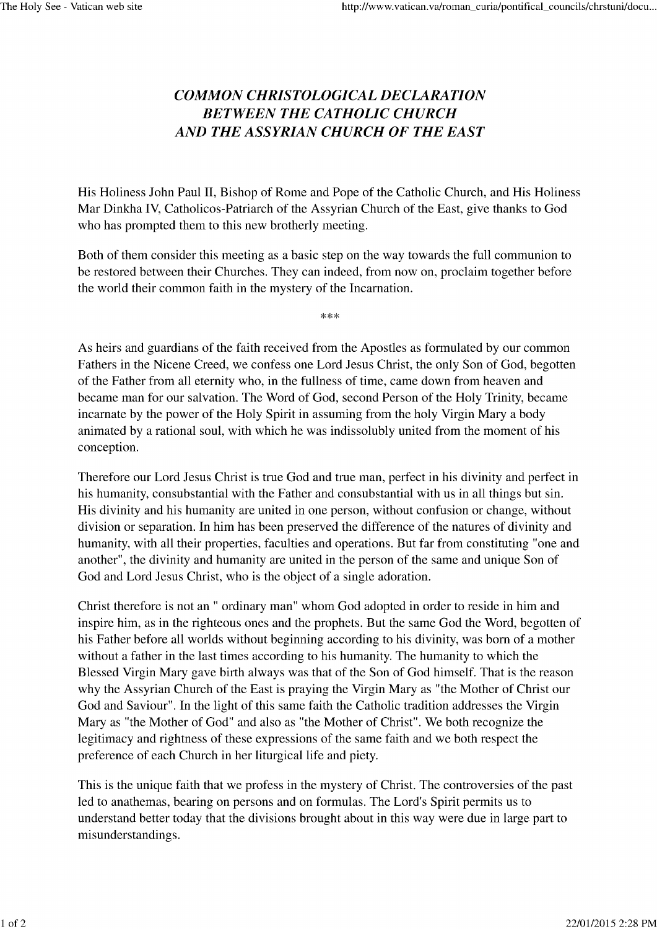## *COMMON CHRISTOLOGICAL DECLARATION BETWEEN THE CATHOLIC CHURCH AND THE ASSYRIAN CHURCH OF THE EAST*

His Holiness John Paul II, Bishop of Rome and Pope of the Catholic Church, and His Holiness Mar Dinkha IV, Catholicos-Patriarch of the Assyrian Church of the East, give thanks to God who has prompted them to this new brotherly meeting.

Both of them consider this meeting as a basic step on the way towards the full communion to be restored between their Churches. They can indeed, from now on, proclaim together before the world their common faith in the mystery of the Incarnation.

\*\*\*

As heirs and guardians of the faith received from the Apostles as formulated by our common Fathers in the Nicene Creed, we confess one Lord Jesus Christ, the only Son of God, begotten of the Father from all eternity who, in the fullness of time, came down from heaven and became man for our salvation. The Word of God, second Person of the Holy Trinity, became incarnate by the power of the Holy Spirit in assuming from the holy Virgin Mary a body animated by a rational soul, with which he was indissolubly united from the moment of his conception.

Therefore our Lord Jesus Christ is true God and true man, perfect in his divinity and perfect in his humanity, consubstantial with the Father and consubstantial with us in all things but sin. His divinity and his humanity are united in one person, without confusion or change, without division or separation. In him has been preserved the difference of the natures of divinity and humanity, with all their properties, faculties and operations. But far from constituting "one and another", the divinity and humanity are united in the person of the same and unique Son of God and Lord Jesus Christ, who is the object of a single adoration.

Christ therefore is not an" ordinary man" whom God adopted in order to reside in him and inspire him, as in the righteous ones and the prophets. But the same God the Word, begotten of his Father before all worlds without beginning according to his divinity, was born of a mother without a father in the last times according to his humanity. The humanity to which the Blessed Virgin Mary gave birth always was that of the Son of God himself. That is the reason why the Assyrian Church of the East is praying the Virgin Mary as "the Mother of Christ our God and Saviour". In the light of this same faith the Catholic tradition addresses the Virgin Mary as "the Mother of God" and also as "the Mother of Christ". We both recognize the legitimacy and rightness of these expressions of the same faith and we both respect the preference of each Church in her liturgical life and piety.

This is the unique faith that we profess in the mystery of Christ. The controversies of the past led to anathemas, bearing on persons and on formulas. The Lord's Spirit permits us to understand better today that the divisions brought about in this way were due in large part to misunderstandings.